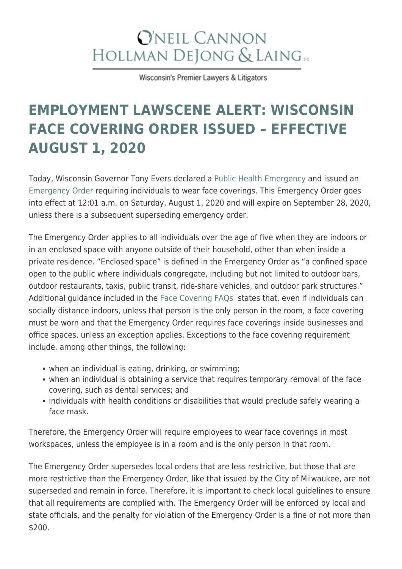## **O'NEIL CANNON** HOLLMAN DEJONG & LAING SC

Wisconsin's Premier Lawyers & Litigators

## **[EMPLOYMENT LAWSCENE ALERT: WISCONSIN](https://www.wilaw.com/employment-lawscene-alert-wisconsin-face-covering-order-issued-effective-august-1-2020/) [FACE COVERING ORDER ISSUED – EFFECTIVE](https://www.wilaw.com/employment-lawscene-alert-wisconsin-face-covering-order-issued-effective-august-1-2020/) [AUGUST 1, 2020](https://www.wilaw.com/employment-lawscene-alert-wisconsin-face-covering-order-issued-effective-august-1-2020/)**

Today, Wisconsin Governor Tony Evers declared a [Public Health Emergency](https://content.govdelivery.com/attachments/WIGOV/2020/07/30/file_attachments/1507336/EO082-PHECOVIDSecondSpike.pdf) and issued an [Emergency Order](https://content.govdelivery.com/attachments/WIGOV/2020/07/30/file_attachments/1507337/EMO01-FaceCoverings.pdf) requiring individuals to wear face coverings. This Emergency Order goes into effect at 12:01 a.m. on Saturday, August 1, 2020 and will expire on September 28, 2020, unless there is a subsequent superseding emergency order.

The Emergency Order applies to all individuals over the age of five when they are indoors or in an enclosed space with anyone outside of their household, other than when inside a private residence. "Enclosed space" is defined in the Emergency Order as "a confined space open to the public where individuals congregate, including but not limited to outdoor bars, outdoor restaurants, taxis, public transit, ride-share vehicles, and outdoor park structures." Additional guidance included in the [Face Covering FAQs](https://content.govdelivery.com/attachments/WIGOV/2020/07/30/file_attachments/1507334/Face%20Covering%20FAQ.pdf) states that, even if individuals can socially distance indoors, unless that person is the only person in the room, a face covering must be worn and that the Emergency Order requires face coverings inside businesses and office spaces, unless an exception applies. Exceptions to the face covering requirement include, among other things, the following:

- when an individual is eating, drinking, or swimming;
- when an individual is obtaining a service that requires temporary removal of the face covering, such as dental services; and
- individuals with health conditions or disabilities that would preclude safely wearing a face mask.

Therefore, the Emergency Order will require employees to wear face coverings in most workspaces, unless the employee is in a room and is the only person in that room.

The Emergency Order supersedes local orders that are less restrictive, but those that are more restrictive than the Emergency Order, like that issued by the City of Milwaukee, are not superseded and remain in force. Therefore, it is important to check local guidelines to ensure that all requirements are complied with. The Emergency Order will be enforced by local and state officials, and the penalty for violation of the Emergency Order is a fine of not more than \$200.